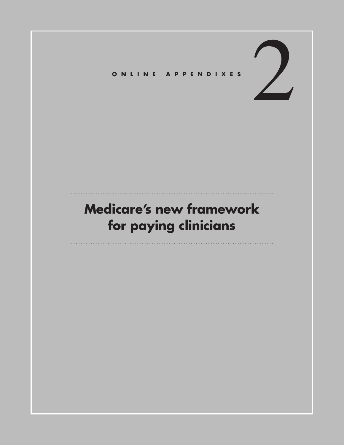## 2 **Online Appendixes**

## **Medicare's new framework for paying clinicians**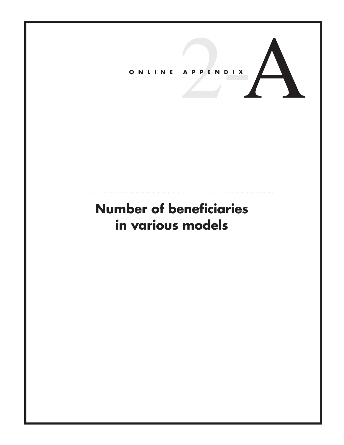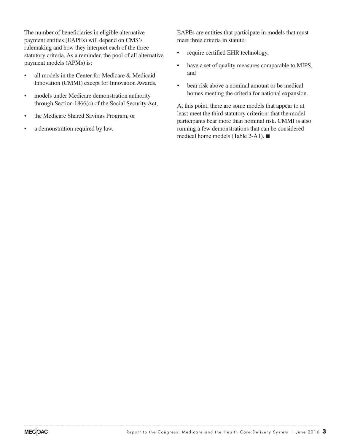The number of beneficiaries in eligible alternative payment entities (EAPEs) will depend on CMS's rulemaking and how they interpret each of the three statutory criteria. As a reminder, the pool of all alternative payment models (APMs) is:

- all models in the Center for Medicare & Medicaid Innovation (CMMI) except for Innovation Awards,
- models under Medicare demonstration authority through Section 1866(c) of the Social Security Act,
- • the Medicare Shared Savings Program, or
- a demonstration required by law.

EAPEs are entities that participate in models that must meet three criteria in statute:

- require certified EHR technology,
- have a set of quality measures comparable to MIPS, and
- bear risk above a nominal amount or be medical homes meeting the criteria for national expansion.

At this point, there are some models that appear to at least meet the third statutory criterion: that the model participants bear more than nominal risk. CMMI is also running a few demonstrations that can be considered medical home models (Table 2-A1). ■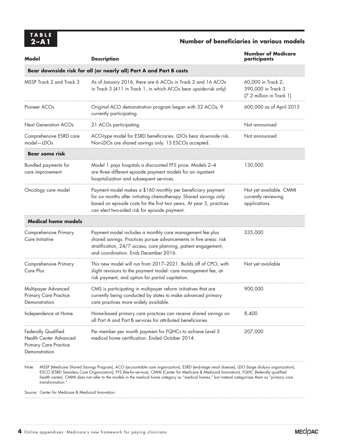## **2–A1 Number of beneficiaries in various models**

| Model                                                                                   | <b>Description</b>                                                                                                                                                                                                                                        | <b>Number of Medicare</b><br>participants                            |
|-----------------------------------------------------------------------------------------|-----------------------------------------------------------------------------------------------------------------------------------------------------------------------------------------------------------------------------------------------------------|----------------------------------------------------------------------|
|                                                                                         | Bear downside risk for all (or nearly all) Part A and Part B costs                                                                                                                                                                                        |                                                                      |
| MSSP Track 2 and Track 3                                                                | As of January 2016, there are 6 ACOs in Track 2 and 16 ACOs<br>in Track 3 (411 in Track 1, in which ACOs bear upside-risk only)                                                                                                                           | 60,000 in Track 2,<br>390,000 in Track 3<br>(7.2 million in Track 1) |
| Pioneer ACO <sub>s</sub>                                                                | Original ACO demonstration program began with 32 ACOs; 9<br>currently participating                                                                                                                                                                       | 600,000 as of April 2015                                             |
| <b>Next Generation ACOs</b>                                                             | 21 ACOs participating                                                                                                                                                                                                                                     | Not announced                                                        |
| Comprehensive ESRD care<br>model-LDOs                                                   | ACO-type model for ESRD beneficiaries. LDOs bear downside risk.<br>Non-LDOs are shared savings only. 13 ESCOs accepted.                                                                                                                                   | Not announced                                                        |
| <b>Bear some risk</b>                                                                   |                                                                                                                                                                                                                                                           |                                                                      |
| Bundled payments for<br>care improvement                                                | Model 1 pays hospitals a discounted FFS price. Models 2-4<br>are three different episode payment models for an inpatient<br>hospitalization and subsequent services.                                                                                      | 130,000                                                              |
| Oncology care model                                                                     | Payment model makes a \$160 monthly per beneficiary payment<br>for six months after initiating chemotherapy. Shared savings only<br>based on episode costs for the first two years. At year 3, practices<br>can elect two-sided risk for episode payment. | Not yet available. CMMI<br>currently reviewing<br>applications.      |
| <b>Medical home models</b>                                                              |                                                                                                                                                                                                                                                           |                                                                      |
| Comprehensive Primary<br>Care Initiative                                                | Payment model includes a monthly care management fee plus<br>shared savings. Practices pursue advancements in five areas: risk<br>stratification, 24/7 access, care planning, patient engagement,<br>and coordination. Ends December 2016.                | 335,000                                                              |
| Comprehensive Primary<br>Care Plus                                                      | This new model will run from 2017-2021. Builds off of CPCI, with<br>slight revisions to the payment model: care management fee, at-<br>risk payment, and option for partial capitation.                                                                   | Not yet available                                                    |
| Multipayer Advanced<br><b>Primary Care Practice</b><br>Demonstration                    | CMS is participating in multipayer reform initiatives that are<br>currently being conducted by states to make advanced primary<br>care practices more widely available.                                                                                   | 900,000                                                              |
| Independence at Home                                                                    | Home-based primary care practices can receive shared savings on<br>all Part A and Part B services for attributed beneficiaries.                                                                                                                           | 8,400                                                                |
| Federally Qualified<br>Health Center Advanced<br>Primary Care Practice<br>Demonstration | Per member per month payment for FQHCs to achieve Level 3<br>medical home certification. Ended October 2014.                                                                                                                                              | 207,000                                                              |
|                                                                                         |                                                                                                                                                                                                                                                           |                                                                      |

Note: MSSP (Medicare Shared Savings Program), ACO (accountable care organization), ESRD (end-stage renal disease), LDO (large dialysis organization), ESCO (ESRD Seamless Care Organization), FFS (fee-for-service), CMMI (Center for Medicare & Medicaid Innovation), FQHC (federally qualified health center). CMMI does not refer to the models in the medical home category as "medical homes," but instead categorizes them as "primary care transformation."

Source: Center for Medicare & Medicaid Innovation.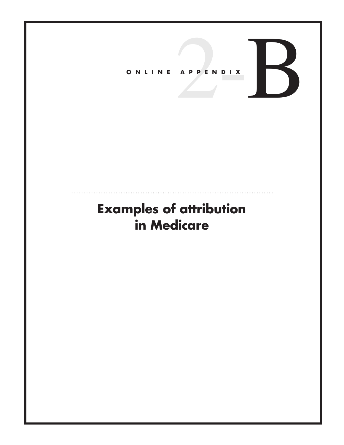